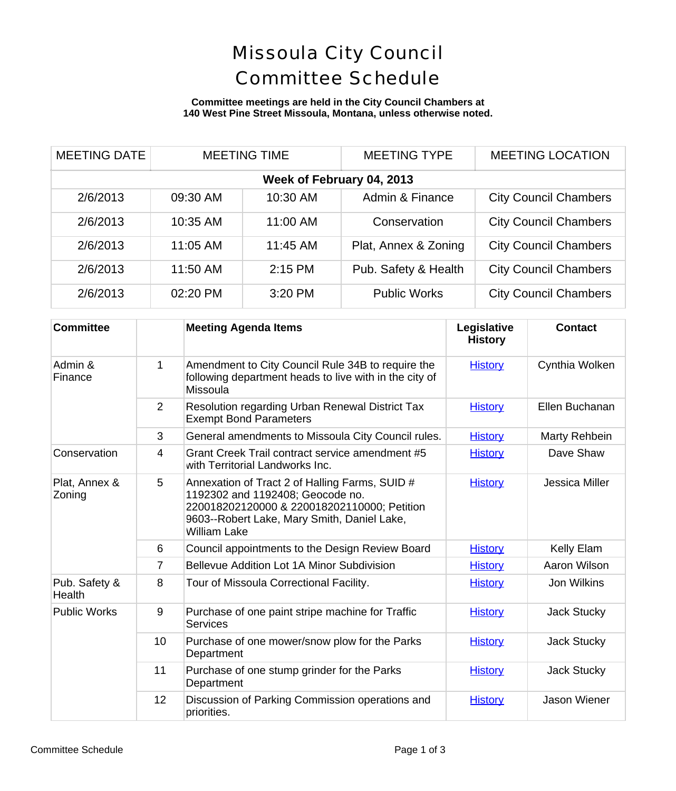# Missoula City Council Committee Schedule

### **Committee meetings are held in the City Council Chambers at 140 West Pine Street Missoula, Montana, unless otherwise noted.**

| <b>MEETING DATE</b>       |          | <b>MEETING TIME</b> | <b>MEETING TYPE</b>  | <b>MEETING LOCATION</b>      |  |
|---------------------------|----------|---------------------|----------------------|------------------------------|--|
| Week of February 04, 2013 |          |                     |                      |                              |  |
| 2/6/2013                  | 09:30 AM | 10:30 AM            | Admin & Finance      | <b>City Council Chambers</b> |  |
| 2/6/2013                  | 10:35 AM | 11:00 AM            | Conservation         | <b>City Council Chambers</b> |  |
| 2/6/2013                  | 11:05 AM | 11:45 AM            | Plat, Annex & Zoning | <b>City Council Chambers</b> |  |
| 2/6/2013                  | 11:50 AM | $2:15$ PM           | Pub. Safety & Health | <b>City Council Chambers</b> |  |
| 2/6/2013                  | 02:20 PM | 3:20 PM             | <b>Public Works</b>  | <b>City Council Chambers</b> |  |

| <b>Committee</b>        |             | <b>Meeting Agenda Items</b>                                                                                                                                                                             | Legislative<br><b>History</b> | <b>Contact</b>     |
|-------------------------|-------------|---------------------------------------------------------------------------------------------------------------------------------------------------------------------------------------------------------|-------------------------------|--------------------|
| Admin &<br>Finance      | $\mathbf 1$ | Amendment to City Council Rule 34B to require the<br>following department heads to live with in the city of<br>Missoula                                                                                 | <b>History</b>                | Cynthia Wolker     |
|                         | 2           | Resolution regarding Urban Renewal District Tax<br><b>Exempt Bond Parameters</b>                                                                                                                        | <b>History</b>                | Ellen Buchanar     |
|                         | 3           | General amendments to Missoula City Council rules.                                                                                                                                                      | <b>History</b>                | Marty Rehbein      |
| Conservation            | 4           | Grant Creek Trail contract service amendment #5<br>with Territorial Landworks Inc.                                                                                                                      | <b>History</b>                | Dave Shaw          |
| Plat, Annex &<br>Zoning | 5           | Annexation of Tract 2 of Halling Farms, SUID #<br>1192302 and 1192408; Geocode no.<br>220018202120000 & 220018202110000; Petition<br>9603--Robert Lake, Mary Smith, Daniel Lake,<br><b>William Lake</b> | <b>History</b>                | Jessica Miller     |
|                         | 6           | Council appointments to the Design Review Board                                                                                                                                                         | <b>History</b>                | Kelly Elam         |
|                         | 7           | Bellevue Addition Lot 1A Minor Subdivision                                                                                                                                                              | <b>History</b>                | Aaron Wilson       |
| Pub. Safety &<br>Health | 8           | Tour of Missoula Correctional Facility.                                                                                                                                                                 | <b>History</b>                | Jon Wilkins        |
| <b>Public Works</b>     | 9           | Purchase of one paint stripe machine for Traffic<br><b>Services</b>                                                                                                                                     | <b>History</b>                | <b>Jack Stucky</b> |
|                         | 10          | Purchase of one mower/snow plow for the Parks<br>Department                                                                                                                                             | <b>History</b>                | <b>Jack Stucky</b> |
|                         | 11          | Purchase of one stump grinder for the Parks<br>Department                                                                                                                                               | <b>History</b>                | <b>Jack Stucky</b> |
|                         | 12          | Discussion of Parking Commission operations and<br>priorities.                                                                                                                                          | <b>History</b>                | Jason Wiener       |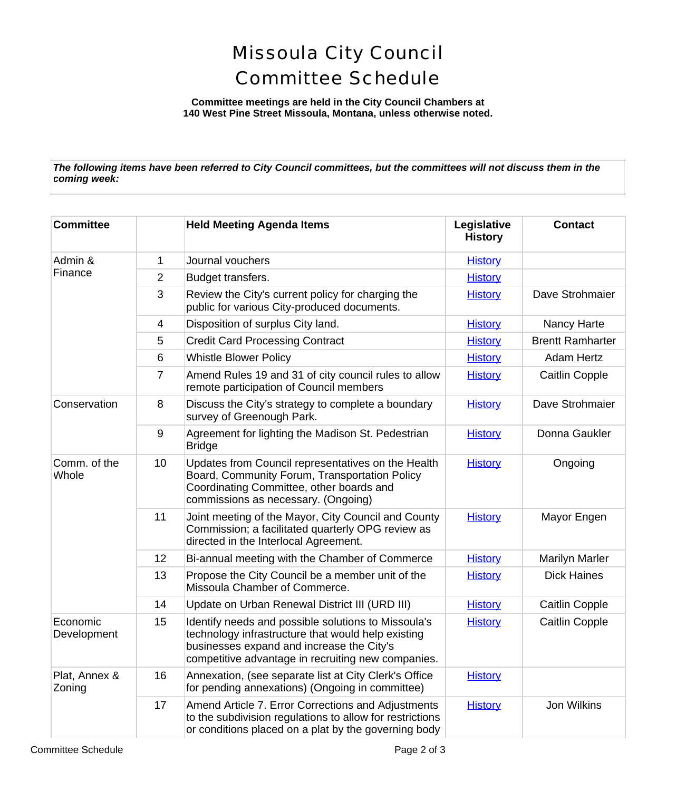## Missoula City Council Committee Schedule

**Committee meetings are held in the City Council Chambers at 140 West Pine Street Missoula, Montana, unless otherwise noted.**

*The following items have been referred to City Council committees, but the committees will not discuss them in the coming week:*

| <b>Committee</b>        |                | <b>Held Meeting Agenda Items</b>                                                                                                                                                                             | Legislative<br><b>History</b> | <b>Contact</b>         |
|-------------------------|----------------|--------------------------------------------------------------------------------------------------------------------------------------------------------------------------------------------------------------|-------------------------------|------------------------|
| Admin &<br>Finance      | 1              | Journal vouchers                                                                                                                                                                                             | <b>History</b>                |                        |
|                         | $\overline{2}$ | Budget transfers.                                                                                                                                                                                            | <b>History</b>                |                        |
|                         | 3              | Review the City's current policy for charging the<br>public for various City-produced documents.                                                                                                             | <b>History</b>                | Dave Strohmaie         |
|                         | 4              | Disposition of surplus City land.                                                                                                                                                                            | <b>History</b>                | Nancy Harte            |
|                         | 5              | <b>Credit Card Processing Contract</b>                                                                                                                                                                       | <b>History</b>                | <b>Brentt Ramharte</b> |
|                         | 6              | <b>Whistle Blower Policy</b>                                                                                                                                                                                 | <b>History</b>                | <b>Adam Hertz</b>      |
|                         | $\overline{7}$ | Amend Rules 19 and 31 of city council rules to allow<br>remote participation of Council members                                                                                                              | <b>History</b>                | <b>Caitlin Copple</b>  |
| Conservation            | 8              | Discuss the City's strategy to complete a boundary<br>survey of Greenough Park.                                                                                                                              | <b>History</b>                | Dave Strohmaie         |
|                         | 9              | Agreement for lighting the Madison St. Pedestrian<br><b>Bridge</b>                                                                                                                                           | <b>History</b>                | Donna Gaukler          |
| Comm. of the<br>Whole   | 10             | Updates from Council representatives on the Health<br>Board, Community Forum, Transportation Policy<br>Coordinating Committee, other boards and<br>commissions as necessary. (Ongoing)                       | <b>History</b>                | Ongoing                |
|                         | 11             | Joint meeting of the Mayor, City Council and County<br>Commission; a facilitated quarterly OPG review as<br>directed in the Interlocal Agreement.                                                            | <b>History</b>                | Mayor Engen            |
|                         | 12             | Bi-annual meeting with the Chamber of Commerce                                                                                                                                                               | <b>History</b>                | <b>Marilyn Marler</b>  |
|                         | 13             | Propose the City Council be a member unit of the<br>Missoula Chamber of Commerce.                                                                                                                            | <b>History</b>                | <b>Dick Haines</b>     |
|                         | 14             | Update on Urban Renewal District III (URD III)                                                                                                                                                               | <b>History</b>                | <b>Caitlin Copple</b>  |
| Economic<br>Development | 15             | Identify needs and possible solutions to Missoula's<br>technology infrastructure that would help existing<br>businesses expand and increase the City's<br>competitive advantage in recruiting new companies. | <b>History</b>                | <b>Caitlin Copple</b>  |
| Plat, Annex &<br>Zoning | 16             | Annexation, (see separate list at City Clerk's Office<br>for pending annexations) (Ongoing in committee)                                                                                                     | <b>History</b>                |                        |
|                         | 17             | Amend Article 7. Error Corrections and Adjustments<br>to the subdivision regulations to allow for restrictions<br>or conditions placed on a plat by the governing body                                       | <b>History</b>                | Jon Wilkins            |